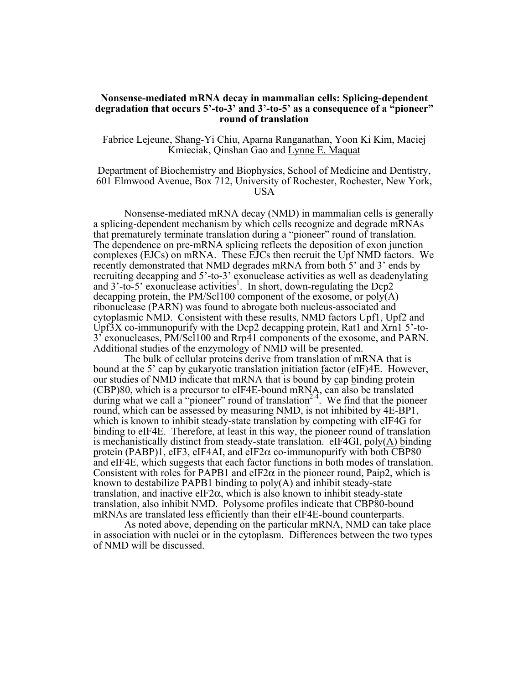## **Nonsense-mediated mRNA decay in mammalian cells: Splicing-dependent degradation that occurs 5'-to-3' and 3'-to-5' as a consequence of a "pioneer" round of translation**

Fabrice Lejeune, Shang-Yi Chiu, Aparna Ranganathan, Yoon Ki Kim, Maciej Kmieciak, Qinshan Gao and Lynne E. Maquat

Department of Biochemistry and Biophysics, School of Medicine and Dentistry, 601 Elmwood Avenue, Box 712, University of Rochester, Rochester, New York, USA

Nonsense-mediated mRNA decay (NMD) in mammalian cells is generally a splicing-dependent mechanism by which cells recognize and degrade mRNAs that prematurely terminate translation during a "pioneer" round of translation. The dependence on pre-mRNA splicing reflects the deposition of exon junction complexes (EJCs) on mRNA. These EJCs then recruit the Upf NMD factors. We recently demonstrated that NMD degrades mRNA from both 5' and 3' ends by recruiting decapping and 5'-to-3' exonuclease activities as well as deadenylating and  $3'-$ to-5' exonuclease activities<sup>1</sup>. In short, down-regulating the Dcp2 decapping protein, the PM/Scl100 component of the exosome, or  $poly(A)$ ribonuclease (PARN) was found to abrogate both nucleus-associated and cytoplasmic NMD. Consistent with these results, NMD factors Upf1, Upf2 and Upf3X co-immunopurify with the Dcp2 decapping protein, Rat1 and Xrn1 5'-to-3' exonucleases, PM/Scl100 and Rrp41 components of the exosome, and PARN. Additional studies of the enzymology of NMD will be presented.

The bulk of cellular proteins derive from translation of mRNA that is bound at the 5' cap by eukaryotic translation initiation factor (eIF)4E. However, our studies of NMD indicate that mRNA that is bound by cap binding protein (CBP)80, which is a precursor to eIF4E-bound mRNA, can also be translated during what we call a "pioneer" round of translation<sup>2-4</sup>. We find that the pioneer round, which can be assessed by measuring NMD, is not inhibited by 4E-BP1, which is known to inhibit steady-state translation by competing with eIF4G for binding to eIF4E. Therefore, at least in this way, the pioneer round of translation is mechanistically distinct from steady-state translation. eIF4GI, poly(A) binding protein  $(PABP)$ 1, eIF3, eIF4AI, and eIF2 $\alpha$  co-immunopurify with both CBP80 and eIF4E, which suggests that each factor functions in both modes of translation. Consistent with roles for PAPB1 and eIF2 $\alpha$  in the pioneer round, Paip2, which is known to destabilize PAPB1 binding to poly(A) and inhibit steady-state translation, and inactive eIF2 $\alpha$ , which is also known to inhibit steady-state translation, also inhibit NMD. Polysome profiles indicate that CBP80-bound mRNAs are translated less efficiently than their eIF4E-bound counterparts.

As noted above, depending on the particular mRNA, NMD can take place in association with nuclei or in the cytoplasm. Differences between the two types of NMD will be discussed.